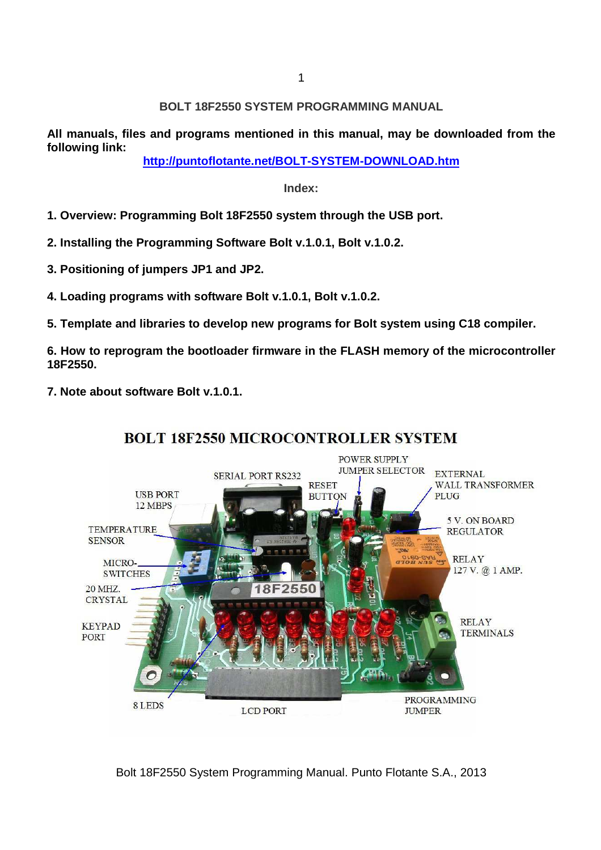## **BOLT 18F2550 SYSTEM PROGRAMMING MANUAL**

**All manuals, files and programs mentioned in this manual, may be downloaded from the following link:** 

**http://puntoflotante.net/BOLT-SYSTEM-DOWNLOAD.htm**

### **Index:**

- **1. Overview: Programming Bolt 18F2550 system through the USB port.**
- **2. Installing the Programming Software Bolt v.1.0.1, Bolt v.1.0.2.**
- **3. Positioning of jumpers JP1 and JP2.**
- **4. Loading programs with software Bolt v.1.0.1, Bolt v.1.0.2.**
- **5. Template and libraries to develop new programs for Bolt system using C18 compiler.**

**6. How to reprogram the bootloader firmware in the FLASH memory of the microcontroller 18F2550.** 

**7. Note about software Bolt v.1.0.1.** 



# **BOLT 18F2550 MICROCONTROLLER SYSTEM**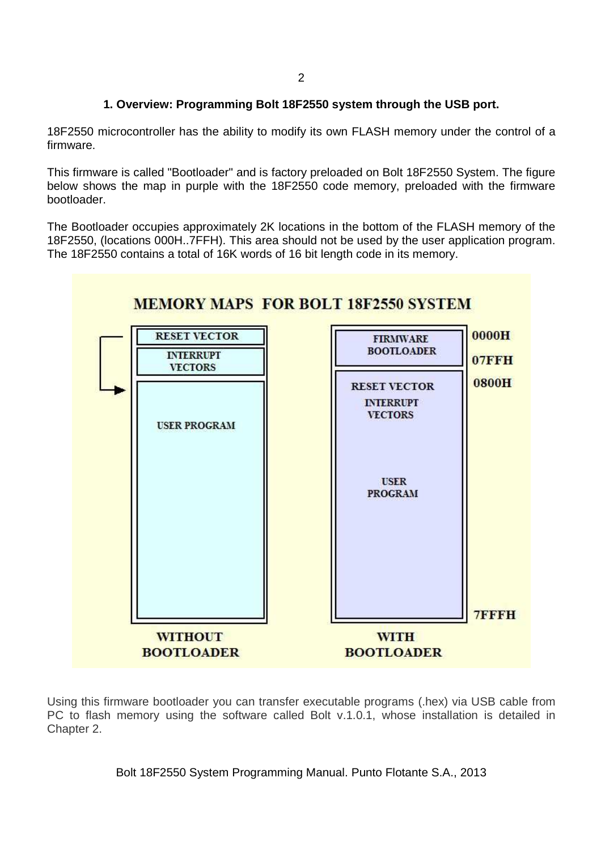## **1. Overview: Programming Bolt 18F2550 system through the USB port.**

18F2550 microcontroller has the ability to modify its own FLASH memory under the control of a firmware.

This firmware is called "Bootloader" and is factory preloaded on Bolt 18F2550 System. The figure below shows the map in purple with the 18F2550 code memory, preloaded with the firmware bootloader.

The Bootloader occupies approximately 2K locations in the bottom of the FLASH memory of the 18F2550, (locations 000H..7FFH). This area should not be used by the user application program. The 18F2550 contains a total of 16K words of 16 bit length code in its memory.



Using this firmware bootloader you can transfer executable programs (.hex) via USB cable from PC to flash memory using the software called Bolt v.1.0.1, whose installation is detailed in Chapter 2.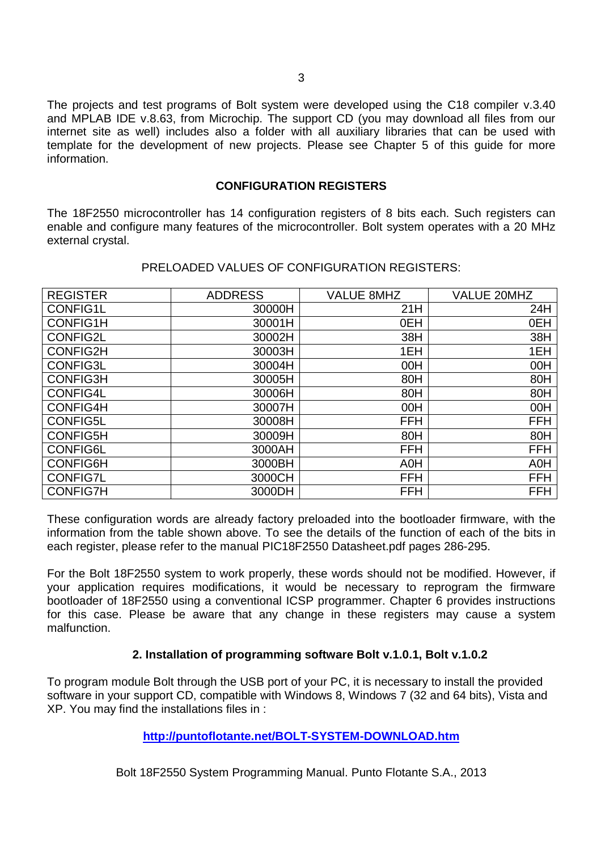The projects and test programs of Bolt system were developed using the C18 compiler v.3.40 and MPLAB IDE v.8.63, from Microchip. The support CD (you may download all files from our internet site as well) includes also a folder with all auxiliary libraries that can be used with template for the development of new projects. Please see Chapter 5 of this guide for more information.

### **CONFIGURATION REGISTERS**

The 18F2550 microcontroller has 14 configuration registers of 8 bits each. Such registers can enable and configure many features of the microcontroller. Bolt system operates with a 20 MHz external crystal.

| <b>REGISTER</b> | <b>ADDRESS</b> | <b>VALUE 8MHZ</b> | <b>VALUE 20MHZ</b> |
|-----------------|----------------|-------------------|--------------------|
| <b>CONFIG1L</b> | 30000H         | 21H               | 24H                |
| <b>CONFIG1H</b> | 30001H         | 0EH               | 0EH                |
| <b>CONFIG2L</b> | 30002H         | 38H               | 38H                |
| <b>CONFIG2H</b> | 30003H         | 1EH               | 1EH                |
| CONFIG3L        | 30004H         | 00H               | 00H                |
| <b>CONFIG3H</b> | 30005H         | 80H               | 80H                |
| <b>CONFIG4L</b> | 30006H         | 80H               | 80H                |
| <b>CONFIG4H</b> | 30007H         | 00H               | 00H                |
| <b>CONFIG5L</b> | 30008H         | <b>FFH</b>        | <b>FFH</b>         |
| <b>CONFIG5H</b> | 30009H         | 80H               | 80H                |
| <b>CONFIG6L</b> | 3000AH         | <b>FFH</b>        | <b>FFH</b>         |
| <b>CONFIG6H</b> | 3000BH         | A0H               | A0H                |
| <b>CONFIG7L</b> | 3000CH         | <b>FFH</b>        | <b>FFH</b>         |
| <b>CONFIG7H</b> | 3000DH         | <b>FFH</b>        | <b>FFH</b>         |

### PRELOADED VALUES OF CONFIGURATION REGISTERS:

These configuration words are already factory preloaded into the bootloader firmware, with the information from the table shown above. To see the details of the function of each of the bits in each register, please refer to the manual PIC18F2550 Datasheet.pdf pages 286-295.

For the Bolt 18F2550 system to work properly, these words should not be modified. However, if your application requires modifications, it would be necessary to reprogram the firmware bootloader of 18F2550 using a conventional ICSP programmer. Chapter 6 provides instructions for this case. Please be aware that any change in these registers may cause a system malfunction.

## **2. Installation of programming software Bolt v.1.0.1, Bolt v.1.0.2**

To program module Bolt through the USB port of your PC, it is necessary to install the provided software in your support CD, compatible with Windows 8, Windows 7 (32 and 64 bits), Vista and XP. You may find the installations files in :

## **http://puntoflotante.net/BOLT-SYSTEM-DOWNLOAD.htm**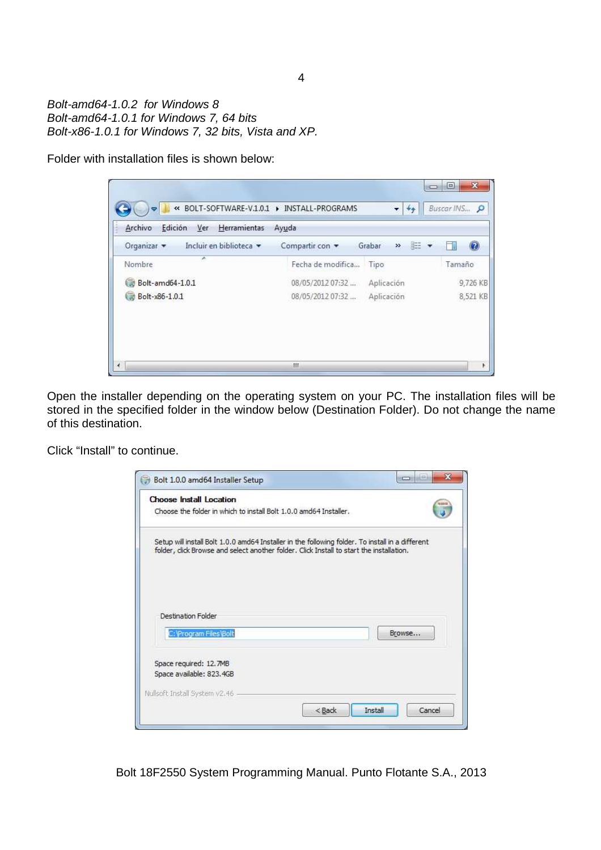Bolt-amd64-1.0.2 for Windows 8 Bolt-amd64-1.0.1 for Windows 7, 64 bits Bolt-x86-1.0.1 for Windows 7, 32 bits, Vista and XP.

Folder with installation files is shown below:



Open the installer depending on the operating system on your PC. The installation files will be stored in the specified folder in the window below (Destination Folder). Do not change the name of this destination.

Click "Install" to continue.

| <b>Choose Install Location</b>                                                                                                                                                               |        |  |
|----------------------------------------------------------------------------------------------------------------------------------------------------------------------------------------------|--------|--|
| Choose the folder in which to install Bolt 1.0.0 amd64 Installer.                                                                                                                            |        |  |
| Setup will install Bolt 1.0.0 amd64 Installer in the following folder. To install in a different<br>folder, click Browse and select another folder. Click Install to start the installation. |        |  |
|                                                                                                                                                                                              |        |  |
| Destination Folder                                                                                                                                                                           |        |  |
| C: Program Files Bolt                                                                                                                                                                        | Browse |  |
| Space required: 12.7MB                                                                                                                                                                       |        |  |
| Space available: 823.4GB                                                                                                                                                                     |        |  |
| Nullsoft Install System v2.46                                                                                                                                                                |        |  |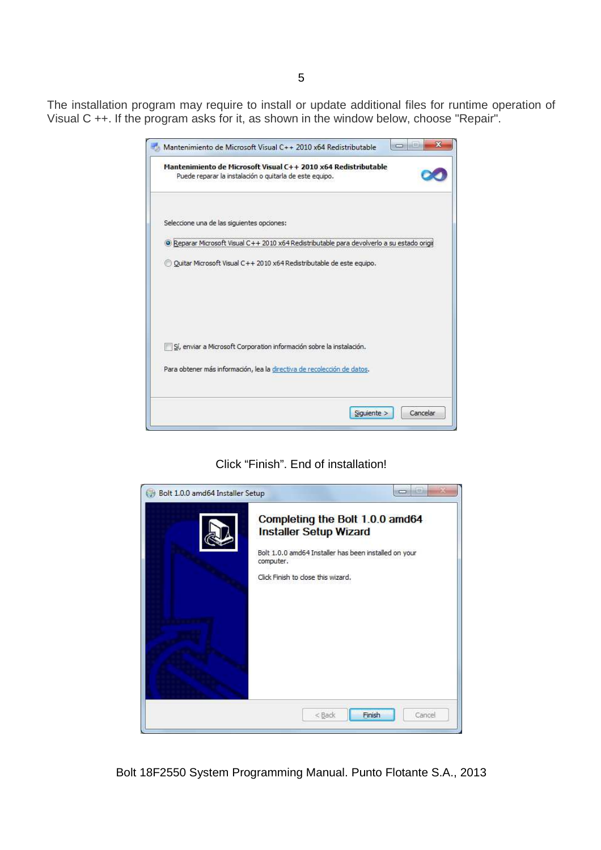The installation program may require to install or update additional files for runtime operation of Visual C ++. If the program asks for it, as shown in the window below, choose "Repair".

|                                            | Mantenimiento de Microsoft Visual C++ 2010 x64 Redistributable<br>Puede reparar la instalación o quitarla de este equipo. |                                                                                          |
|--------------------------------------------|---------------------------------------------------------------------------------------------------------------------------|------------------------------------------------------------------------------------------|
| Seleccione una de las siguientes opciones: |                                                                                                                           |                                                                                          |
|                                            |                                                                                                                           | Reparar Microsoft Visual C++ 2010 x64 Redistributable para devolverlo a su estado origio |
|                                            | Quitar Microsoft Visual C++ 2010 x64 Redistributable de este equipo.                                                      |                                                                                          |
|                                            |                                                                                                                           |                                                                                          |
|                                            | Sí, enviar a Microsoft Corporation información sobre la instalación.                                                      |                                                                                          |
|                                            | Para obtener más información, lea la directiva de recolección de datos.                                                   |                                                                                          |

Click "Finish". End of installation!

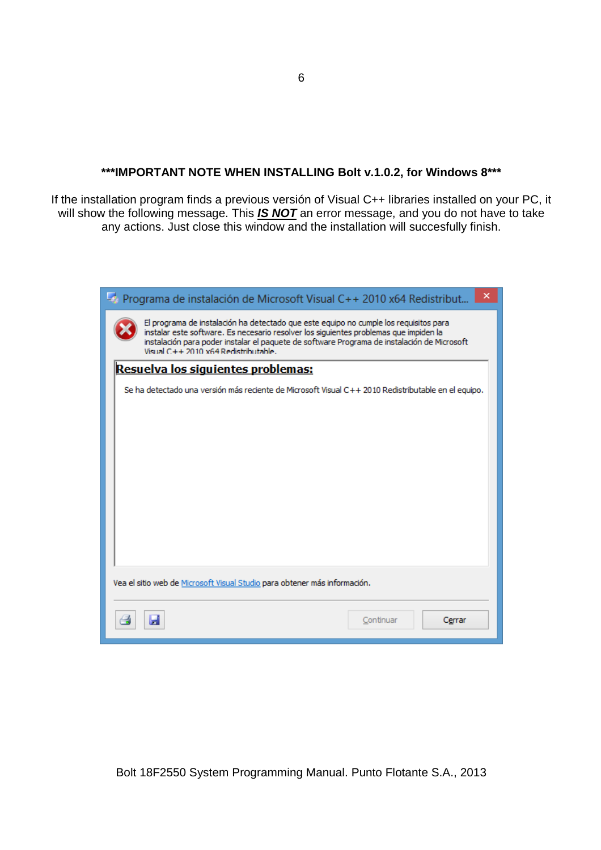## **\*\*\*IMPORTANT NOTE WHEN INSTALLING Bolt v.1.0.2, for Windows 8\*\*\***

If the installation program finds a previous versión of Visual C++ libraries installed on your PC, it will show the following message. This **IS NOT** an error message, and you do not have to take any actions. Just close this window and the installation will succesfully finish.

| ×<br>Programa de instalación de Microsoft Visual C++ 2010 x64 Redistribut                                                                                                                                                                                                                                             |  |  |  |  |
|-----------------------------------------------------------------------------------------------------------------------------------------------------------------------------------------------------------------------------------------------------------------------------------------------------------------------|--|--|--|--|
| El programa de instalación ha detectado que este equipo no cumple los requisitos para<br>instalar este software. Es necesario resolver los siguientes problemas que impiden la<br>instalación para poder instalar el paquete de software Programa de instalación de Microsoft<br>Visual C++ 2010 x64 Redistributable. |  |  |  |  |
| <u>Resuelva los siguientes problemas:</u>                                                                                                                                                                                                                                                                             |  |  |  |  |
| Se ha detectado una versión más reciente de Microsoft Visual C++ 2010 Redistributable en el equipo.                                                                                                                                                                                                                   |  |  |  |  |
| Vea el sitio web de Microsoft Visual Studio para obtener más información.                                                                                                                                                                                                                                             |  |  |  |  |
| Continuar<br>Cerrar                                                                                                                                                                                                                                                                                                   |  |  |  |  |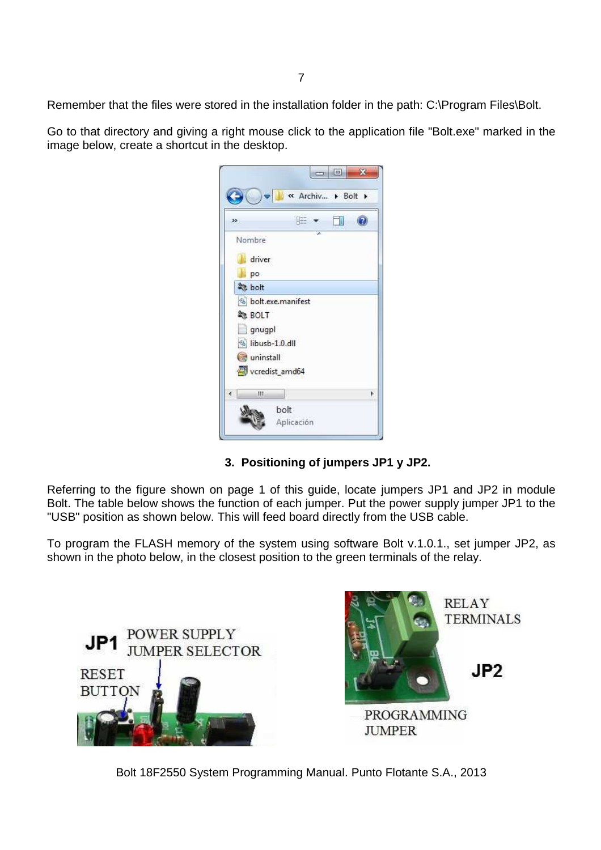Remember that the files were stored in the installation folder in the path: C:\Program Files\Bolt.

Go to that directory and giving a right mouse click to the application file "Bolt.exe" marked in the image below, create a shortcut in the desktop.

| >>                | 脏 |   |   |
|-------------------|---|---|---|
| Nombre            |   | z |   |
| driver            |   |   |   |
| po.               |   |   |   |
| 数 bolt            |   |   |   |
| bolt.exe.manifest |   |   |   |
| <b>BOLT</b>       |   |   |   |
| gnugpl            |   |   |   |
| libusb-1.0.dll    |   |   |   |
| uninstall         |   |   |   |
| vcredist_amd64    |   |   |   |
| Ш                 |   |   | ١ |

# **3. Positioning of jumpers JP1 y JP2.**

Referring to the figure shown on page 1 of this guide, locate jumpers JP1 and JP2 in module Bolt. The table below shows the function of each jumper. Put the power supply jumper JP1 to the "USB" position as shown below. This will feed board directly from the USB cable.

To program the FLASH memory of the system using software Bolt v.1.0.1., set jumper JP2, as shown in the photo below, in the closest position to the green terminals of the relay.

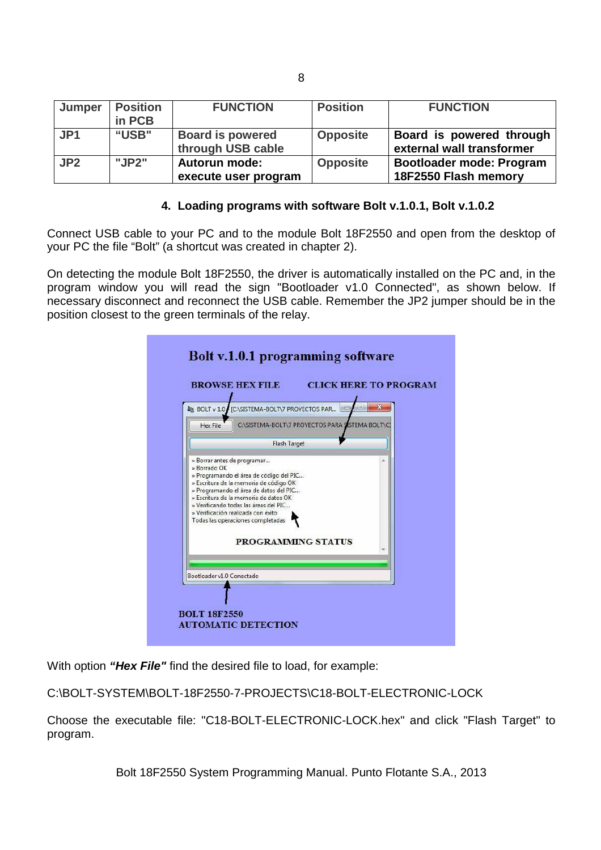| Jumper          | <b>Position</b><br>in PCB | <b>FUNCTION</b>                              | <b>Position</b> | <b>FUNCTION</b>                                       |
|-----------------|---------------------------|----------------------------------------------|-----------------|-------------------------------------------------------|
| JP <sub>1</sub> | "USB"                     | <b>Board is powered</b><br>through USB cable | <b>Opposite</b> | Board is powered through<br>external wall transformer |
| JP2             | "JP2"                     | <b>Autorun mode:</b><br>execute user program | <b>Opposite</b> | Bootloader mode: Program<br>18F2550 Flash memory      |

### **4. Loading programs with software Bolt v.1.0.1, Bolt v.1.0.2**

Connect USB cable to your PC and to the module Bolt 18F2550 and open from the desktop of your PC the file "Bolt" (a shortcut was created in chapter 2).

On detecting the module Bolt 18F2550, the driver is automatically installed on the PC and, in the program window you will read the sign "Bootloader v1.0 Connected", as shown below. If necessary disconnect and reconnect the USB cable. Remember the JP2 jumper should be in the position closest to the green terminals of the relay.



With option **"Hex File"** find the desired file to load, for example:

C:\BOLT-SYSTEM\BOLT-18F2550-7-PROJECTS\C18-BOLT-ELECTRONIC-LOCK

Choose the executable file: "C18-BOLT-ELECTRONIC-LOCK.hex" and click "Flash Target" to program.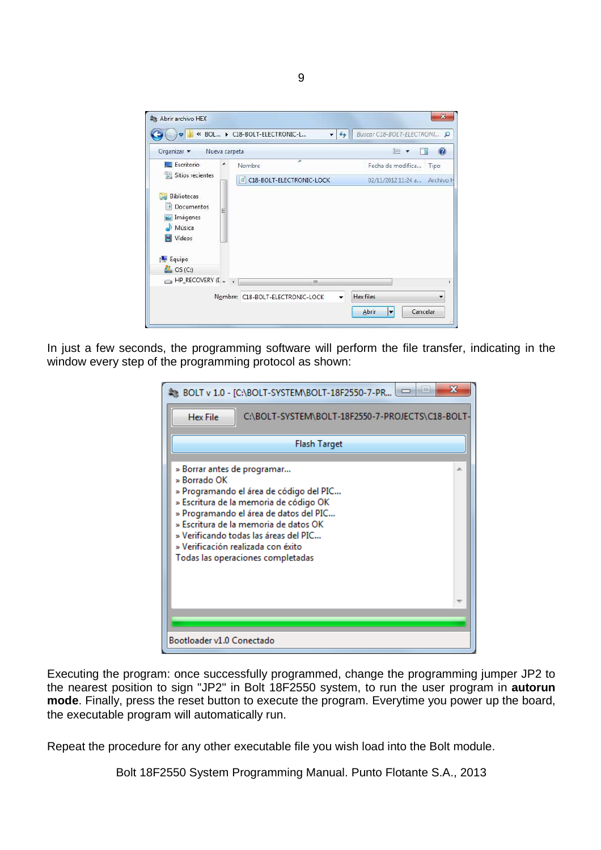

In just a few seconds, the programming software will perform the file transfer, indicating in the window every step of the programming protocol as shown:

| х<br>& BOLT v 1.0 - [C:\BOLT-SYSTEM\BOLT-18F2550-7-PR                                                                                                                                                                                                                                                                                   |  |
|-----------------------------------------------------------------------------------------------------------------------------------------------------------------------------------------------------------------------------------------------------------------------------------------------------------------------------------------|--|
| C:\BOLT-SYSTEM\BOLT-18F2550-7-PROJECTS\C18-BOLT-<br><b>Hex File</b>                                                                                                                                                                                                                                                                     |  |
| Flash Target                                                                                                                                                                                                                                                                                                                            |  |
| » Borrar antes de programar<br>» Borrado OK<br>» Programando el área de código del PIC<br>» Escritura de la memoria de código OK<br>» Programando el área de datos del PIC<br>» Escritura de la memoria de datos OK<br>» Verificando todas las áreas del PIC<br>» Verificación realizada con éxito<br>Todas las operaciones completadas |  |
|                                                                                                                                                                                                                                                                                                                                         |  |
| Bootloader v1.0 Conectado                                                                                                                                                                                                                                                                                                               |  |

Executing the program: once successfully programmed, change the programming jumper JP2 to the nearest position to sign "JP2" in Bolt 18F2550 system, to run the user program in **autorun mode**. Finally, press the reset button to execute the program. Everytime you power up the board, the executable program will automatically run.

Repeat the procedure for any other executable file you wish load into the Bolt module.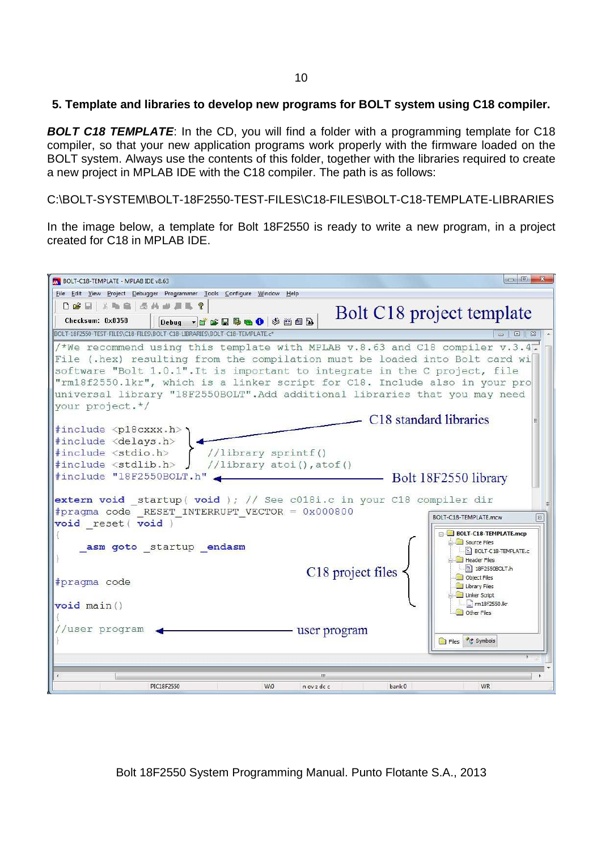### **5. Template and libraries to develop new programs for BOLT system using C18 compiler.**

**BOLT C18 TEMPLATE:** In the CD, you will find a folder with a programming template for C18 compiler, so that your new application programs work properly with the firmware loaded on the BOLT system. Always use the contents of this folder, together with the libraries required to create a new project in MPLAB IDE with the C18 compiler. The path is as follows:

C:\BOLT-SYSTEM\BOLT-18F2550-TEST-FILES\C18-FILES\BOLT-C18-TEMPLATE-LIBRARIES

In the image below, a template for Bolt 18F2550 is ready to write a new program, in a project created for C18 in MPLAB IDE.

| BOLT-C18-TEMPLATE - MPLAB IDE v8.63                                                                                                                                                                                                                                                                                                                                                                                        | $\Box$<br>$\mathbf{x}$                                                                                                    |
|----------------------------------------------------------------------------------------------------------------------------------------------------------------------------------------------------------------------------------------------------------------------------------------------------------------------------------------------------------------------------------------------------------------------------|---------------------------------------------------------------------------------------------------------------------------|
| File Edit View Project Debugger Programmer Tools Configure Window Help                                                                                                                                                                                                                                                                                                                                                     |                                                                                                                           |
| <b>DBE XRE SANAR?</b><br>Checksum: 0x8358<br>Debug - F S H H & O \$ H D B                                                                                                                                                                                                                                                                                                                                                  | Bolt C <sub>18</sub> project template                                                                                     |
| BOLT-18F2550-TEST-FILES\C18-FILES\BOLT-C18-LIBRARIES\BOLT-C18-TEMPLATE.c1                                                                                                                                                                                                                                                                                                                                                  |                                                                                                                           |
| /*We recommend using this template with MPLAB v.8.63 and C18 compiler v.3.4.<br>File (.hex) resulting from the compilation must be loaded into Bolt card wi<br>software "Bolt 1.0.1". It is important to integrate in the C project, file<br>"rm18f2550.1kr", which is a linker script for C18. Include also in your pro<br>universal library "18F2550BOLT". Add additional libraries that you may need<br>your project.*/ |                                                                                                                           |
|                                                                                                                                                                                                                                                                                                                                                                                                                            | C <sub>18</sub> standard libraries                                                                                        |
| #include <p18cxxx.h><br/>#include <delays.h><br/>#include <stdio.h><br/>//library sprintf()<br/>#include <stdlib.h><br/>//library atoi(), atof()<br/>#include "18F2550BOLT.h"</stdlib.h></stdio.h></delays.h></p18cxxx.h>                                                                                                                                                                                                  | Bolt 18F2550 library                                                                                                      |
| extern void startup (void ); // See c018i.c in your C18 compiler dir<br>#pragma code RESET INTERRUPT VECTOR = 0x000800<br>void reset ( void )                                                                                                                                                                                                                                                                              | BOLT-C18-TEMPLATE.mcw<br>$\mathbb{E}$                                                                                     |
| asm goto startup endasm                                                                                                                                                                                                                                                                                                                                                                                                    | <b>BOLT-C18-TEMPLATE.mcp</b><br><b>Source Files</b><br>BOLT-C18-TEMPLATE.c<br>Header Files<br>$\frac{h}{h}$ 18F2550BOLT.h |
| C18 project files<br>#pragma code<br>void main ()                                                                                                                                                                                                                                                                                                                                                                          | Object Files<br>Library Files<br>Linker Script<br>$\left  \frac{1}{2} \right $ rm 18f2550.lkr                             |
| //user program<br>user program                                                                                                                                                                                                                                                                                                                                                                                             | Other Files                                                                                                               |
|                                                                                                                                                                                                                                                                                                                                                                                                                            | Files & Symbols                                                                                                           |
| m                                                                                                                                                                                                                                                                                                                                                                                                                          |                                                                                                                           |
| PIC18F2550<br>W:0<br>$n$ ov z dc c<br>bank 0                                                                                                                                                                                                                                                                                                                                                                               | <b>WR</b>                                                                                                                 |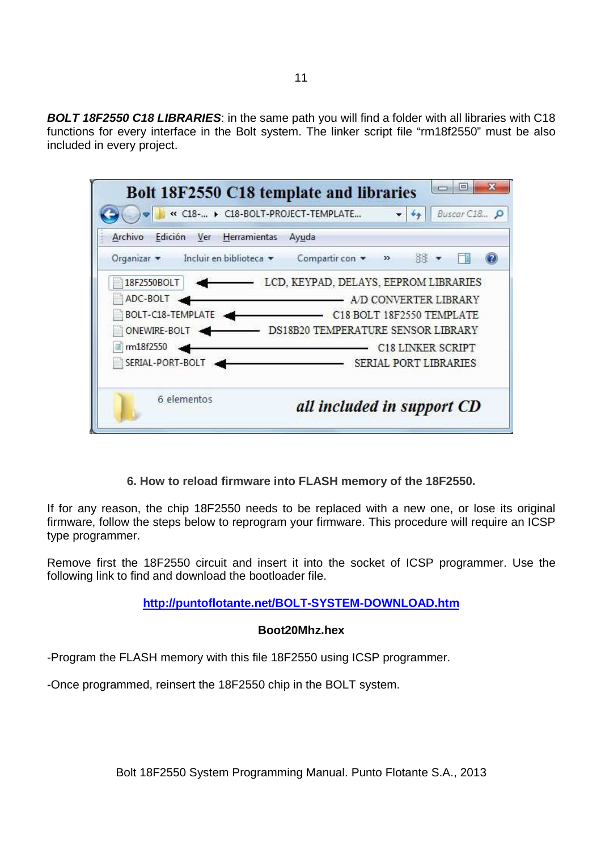**BOLT 18F2550 C18 LIBRARIES**: in the same path you will find a folder with all libraries with C18 functions for every interface in the Bolt system. The linker script file "rm18f2550" must be also included in every project.

|                                              | Buscar C18.,<br>« C18- > C18-BOLT-PROJECT-TEMPLATE |
|----------------------------------------------|----------------------------------------------------|
| Archivo<br>Edición<br>Ver Herramientas Ayuda |                                                    |
| Incluir en biblioteca v<br>Organizar -       | Compartir con<br>脚步<br>»                           |
| 18F2550BOLT                                  | LCD, KEYPAD, DELAYS, EEPROM LIBRARIES              |
| ADC-BOLT                                     | A/D CONVERTER LIBRARY                              |
| BOLT-C18-TEMPLATE                            | C18 BOLT 18F2550 TEMPLATE                          |
| ONEWIRE-BOLT -                               | DS18B20 TEMPERATURE SENSOR LIBRARY                 |
| rm18f2550                                    | C18 LINKER SCRIPT                                  |
| SERIAL-PORT-BOLT                             | SERIAL PORT LIBRARIES                              |
| 6 elementos                                  | all included in support CD                         |

**6. How to reload firmware into FLASH memory of the 18F2550.** 

If for any reason, the chip 18F2550 needs to be replaced with a new one, or lose its original firmware, follow the steps below to reprogram your firmware. This procedure will require an ICSP type programmer.

Remove first the 18F2550 circuit and insert it into the socket of ICSP programmer. Use the following link to find and download the bootloader file.

## **http://puntoflotante.net/BOLT-SYSTEM-DOWNLOAD.htm**

### **Boot20Mhz.hex**

-Program the FLASH memory with this file 18F2550 using ICSP programmer.

-Once programmed, reinsert the 18F2550 chip in the BOLT system.